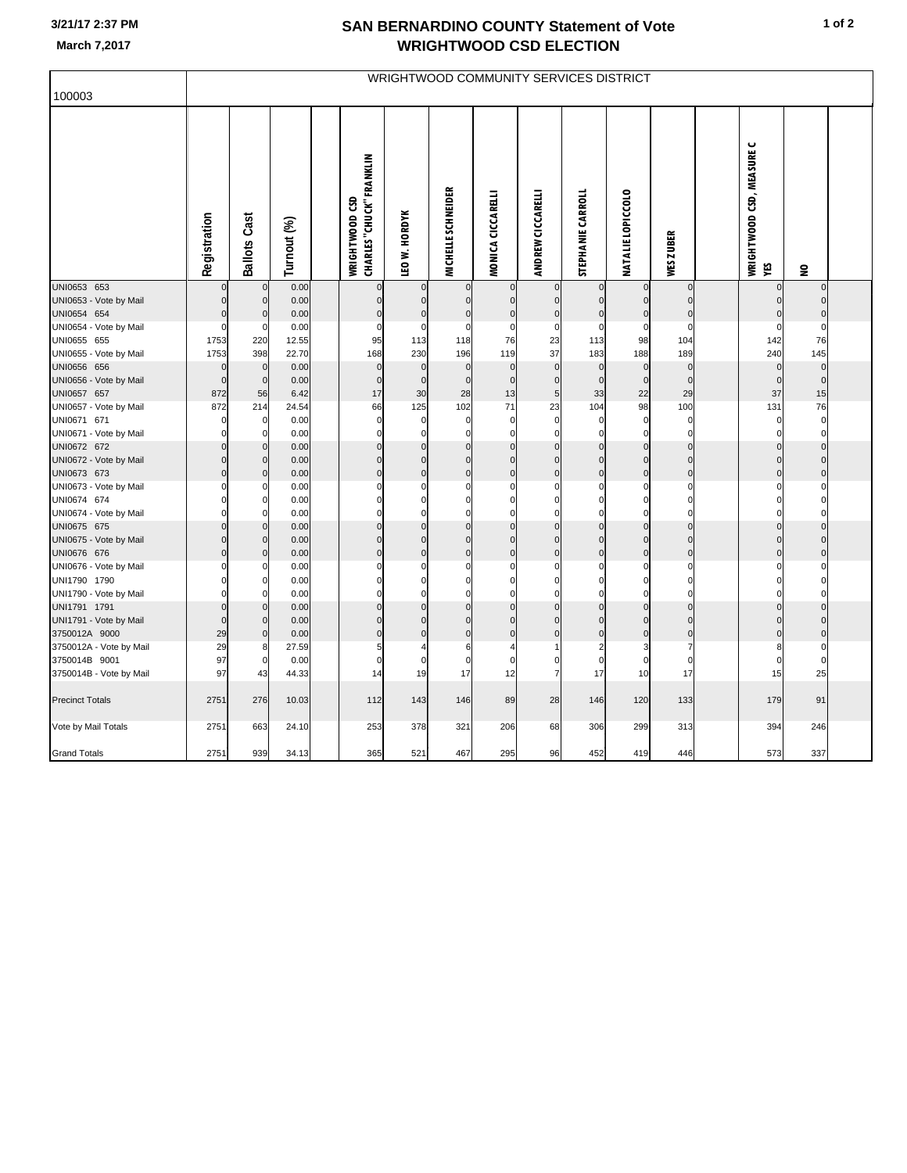## **3/21/17 2:37 PM**

## **SAN BERNARDINO COUNTY Statement of Vote March 7,2017 WRIGHTWOOD CSD ELECTION**

|                                          | WRIGHTWOOD COMMUNITY SERVICES DISTRICT |                          |               |  |                                                   |                             |                            |                          |                         |                               |                               |                            |  |                                  |                          |  |
|------------------------------------------|----------------------------------------|--------------------------|---------------|--|---------------------------------------------------|-----------------------------|----------------------------|--------------------------|-------------------------|-------------------------------|-------------------------------|----------------------------|--|----------------------------------|--------------------------|--|
| 100003                                   |                                        |                          |               |  |                                                   |                             |                            |                          |                         |                               |                               |                            |  |                                  |                          |  |
|                                          | Registration                           | <b>Ballots Cast</b>      | Turnout (%)   |  | <b>CHARLES "CHUCK" FRANKLIN</b><br>WRIGHTWOOD CSD | <b>LEO W. HORDYK</b>        | <b>MICHELLE SCHNEIDER</b>  | MONICA CICCARELLI        | ANDREW CICCARELLI       | <b>STEPHANIE CARROLI</b>      | <b>NATALIE LOPICCOLO</b>      | WES ZUBER                  |  | WRIGHTWOOD CSD, MEASURE C<br>YES | 읖                        |  |
| UNI0653 653                              |                                        | $\mathbf 0$              | 0.00          |  | $\pmb{0}$                                         | $\mathbf 0$                 | $\mathbf 0$                | $\mathbf 0$              | $\mathbf 0$             | $\mathbf 0$                   |                               | $\overline{0}$             |  | $\mathbf 0$                      | $\Omega$                 |  |
| UNI0653 - Vote by Mail<br>UNI0654 654    | $\Omega$                               | $\pmb{0}$<br>$\pmb{0}$   | 0.00<br>0.00  |  | $\bf{0}$<br>$\overline{0}$                        | 0<br>$\pmb{0}$              | 0<br>$\pmb{0}$             | $\bf{0}$<br>$\pmb{0}$    | $\Omega$<br>$\pmb{0}$   | $\mathbf 0$<br>$\mathbf 0$    | $\mathbf 0$                   | $\mathbf 0$<br>$\mathbf 0$ |  | $\mathbf 0$<br>$\mathbf 0$       | $\Omega$<br>$\mathbf{0}$ |  |
| UNI0654 - Vote by Mail                   |                                        | $\mathbf 0$              | 0.00          |  | 0                                                 | 0                           | $\mathbf 0$                | $\mathbf 0$              | $\mathbf 0$             | 0                             | $\mathbf 0$                   | $\mathbf 0$                |  | $\Omega$                         | $\mathbf 0$              |  |
| UNI0655 655                              | 1753                                   | 220                      | 12.55         |  | 95                                                | 113                         | 118                        | 76                       | 23                      | 113                           | 98                            | 104                        |  | 142                              | 76                       |  |
| UNI0655 - Vote by Mail                   | 1753                                   | 398                      | 22.70         |  | 168                                               | 230                         | 196                        | 119                      | 37                      | 183                           | 188                           | 189                        |  | 240                              | 145                      |  |
| UNI0656 656                              | $\Omega$                               | $\pmb{0}$                | 0.00          |  | $\mathbf{0}$                                      | $\mathbf 0$                 | $\mathbf 0$                | $\mathbf 0$              | $\mathbf 0$             | $\Omega$                      | $\mathbf 0$                   | $\mathbf 0$                |  | $\mathbf{0}$                     | $\mathbf 0$              |  |
| UNI0656 - Vote by Mail                   | $\Omega$                               | $\mathbf 0$              | 0.00          |  | $\mathbf 0$                                       | $\mathbf 0$                 | $\mathbf 0$                | $\mathbf 0$              | $\mathbf 0$             | $\mathbf 0$                   | $\mathbf 0$                   | $\Omega$                   |  | $\mathbf 0$                      | $\mathbf{0}$             |  |
| UNI0657 657                              | 872                                    | 56                       | 6.42          |  | 17                                                | 30                          | 28                         | 13                       | 5                       | 33                            | 22                            | 29                         |  | 37                               | 15                       |  |
| UNI0657 - Vote by Mail<br>UNI0671 671    | 872                                    | 214<br>$\mathbf 0$       | 24.54<br>0.00 |  | 66<br>$\mathbf 0$                                 | 125<br>0                    | 102<br>$\mathbf 0$         | 71<br>$\Omega$           | 23<br>$\mathbf 0$       | 104<br>0                      | 98<br>$\mathbf 0$             | 100<br>$\mathbf 0$         |  | 131<br>0                         | 76<br>$\Omega$           |  |
| UNI0671 - Vote by Mail                   |                                        | $\mathbf 0$              | 0.00          |  | 0                                                 | $\Omega$                    | $\mathbf 0$                | $\mathbf 0$              | $\mathbf 0$             | $\mathbf 0$                   | $\mathbf 0$                   | $\mathbf 0$                |  | $\Omega$                         | $\Omega$                 |  |
| UNI0672 672                              |                                        | $\mathbf 0$              | 0.00          |  | $\Omega$                                          | $\Omega$                    | $\mathbf{0}$               | $\Omega$                 | $\mathsf{C}$            | $\mathbf 0$                   | $\mathcal{C}$                 | $\mathbf{0}$               |  |                                  |                          |  |
| UNI0672 - Vote by Mail                   |                                        | $\pmb{0}$                | 0.00          |  | 0                                                 | $\mathbf 0$                 | $\mathbf 0$                | $\mathbf 0$              | $\mathbf 0$             | $\mathbf 0$                   | $\mathbf 0$                   | $\mathbf 0$                |  | $\mathbf 0$                      | $\Omega$                 |  |
| UNI0673 673                              |                                        | $\mathbf 0$              | 0.00          |  | $\mathbf 0$                                       | $\mathbf 0$                 | $\pmb{0}$                  | $\mathbf 0$              | $\overline{0}$          | $\overline{0}$                | $\mathbf 0$                   | $\mathbf 0$                |  | $\Omega$                         | ŋ                        |  |
| UNI0673 - Vote by Mail                   |                                        | 0                        | 0.00          |  | $\Omega$                                          | 0                           | 0                          | 0                        | $\mathbf 0$             | 0                             | $\mathbf 0$                   | $\mathbf 0$                |  | ŋ                                |                          |  |
| UNI0674 674                              |                                        | 0                        | 0.00          |  | $\Omega$                                          | $\Omega$                    | $\mathbf 0$                | $\Omega$                 | $\Omega$                | $\Omega$                      | $\Omega$                      | $\Omega$                   |  |                                  |                          |  |
| UNI0674 - Vote by Mail                   |                                        | $\Omega$                 | 0.00          |  | $\Omega$<br>$\Omega$                              | $\Omega$                    | $\mathbf 0$<br>$\mathbf 0$ | $\Omega$<br>$\mathbf{0}$ | $\mathbf 0$<br>$\Omega$ | $\mathbf 0$<br>$\Omega$       | $\mathsf{C}$<br>$\mathcal{C}$ | $\Omega$                   |  | $\Omega$                         |                          |  |
| UNI0675 675<br>UNI0675 - Vote by Mail    |                                        | $\mathbf 0$<br>$\pmb{0}$ | 0.00<br>0.00  |  | $\overline{0}$                                    | $\mathbf 0$<br>$\pmb{0}$    | $\bf 0$                    | $\pmb{0}$                | $\overline{0}$          | $\mathbf 0$                   | $\mathsf{C}$                  | $\mathbf 0$<br>$\mathbf 0$ |  | $\Omega$                         |                          |  |
| UNI0676 676                              | $\Omega$                               | $\pmb{0}$                | 0.00          |  | $\overline{0}$                                    | $\pmb{0}$                   | $\pmb{0}$                  | $\pmb{0}$                | $\pmb{0}$               | $\mathbf 0$                   | $\mathsf{C}$                  | $\mathbf 0$                |  | $\mathbf 0$                      | $\Omega$                 |  |
| UNI0676 - Vote by Mail                   |                                        | 0                        | 0.00          |  | 0                                                 | 0                           | $\mathbf 0$                | $\mathbf 0$              | C                       | 0                             | C                             | $\mathbf 0$                |  | $\Omega$                         |                          |  |
| UNI1790 1790                             |                                        | $\mathbf 0$              | 0.00          |  | $\Omega$                                          | $\mathbf 0$                 | 0                          | $\mathbf 0$              | 0                       | $\mathbf 0$                   | $\Omega$                      | $\mathbf 0$                |  | $\Omega$                         |                          |  |
| UNI1790 - Vote by Mail                   |                                        | 0                        | 0.00          |  | $\Omega$                                          | $\Omega$                    | $\Omega$                   | $\Omega$                 | $\Omega$                | $\Omega$                      | $\Omega$                      | $\mathbf 0$                |  |                                  |                          |  |
| UNI1791 1791                             | $\overline{0}$                         | $\pmb{0}$                | 0.00          |  | $\mathbf 0$                                       | $\mathbf 0$                 | $\bf 0$                    | $\pmb{0}$                | $\mathbf 0$             | $\mathbf 0$                   | $\mathbf 0$                   | $\mathbf 0$                |  | $\mathbf 0$                      |                          |  |
| UNI1791 - Vote by Mail                   | $\Omega$                               | $\mathbf 0$              | 0.00          |  | $\Omega$                                          | $\mathbf 0$                 | $\mathbf 0$                | $\mathbf 0$              | $\Omega$                | $\Omega$                      | $\Omega$                      | $\mathbf 0$                |  | $\Omega$                         | $\Omega$                 |  |
| 3750012A 9000                            | 29                                     | $\pmb{0}$                | 0.00          |  | $\mathbf 0$<br>5                                  | $\pmb{0}$<br>$\overline{4}$ | $\pmb{0}$                  | $\pmb{0}$                | $\mathbf 0$             | $\mathbf 0$<br>$\overline{a}$ | C<br>3                        | $\mathbf 0$                |  | $\Omega$                         | $\Omega$                 |  |
| 3750012A - Vote by Mail<br>3750014B 9001 | 29<br>97                               | 8<br>$\mathbf 0$         | 27.59<br>0.00 |  | 0                                                 | $\mathbf 0$                 | 6<br>$\overline{0}$        | $\Omega$                 | $\mathbf 0$             | $\Omega$                      | $\mathsf{C}$                  | $\Omega$                   |  | $\Omega$                         |                          |  |
| 3750014B - Vote by Mail                  | 97                                     | 43                       | 44.33         |  | 14                                                | 19                          | 17                         | 12                       | $\overline{7}$          | 17                            | 10                            | 17                         |  | 15                               | 25                       |  |
| <b>Precinct Totals</b>                   | 2751                                   | 276                      | 10.03         |  | 112                                               | 143                         | 146                        | 89                       | 28                      | 146                           | 120                           | 133                        |  | 179                              | 91                       |  |
| Vote by Mail Totals                      | 2751                                   | 663                      | 24.10         |  | 253                                               | 378                         | 321                        | 206                      | 68                      | 306                           | 299                           | 313                        |  | 394                              | 246                      |  |
| <b>Grand Totals</b>                      | 2751                                   | 939                      | 34.13         |  | 365                                               | 521                         | 467                        | 295                      | 96                      | 452                           | 419                           | 446                        |  | 573                              | 337                      |  |